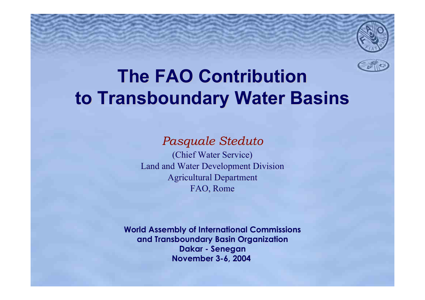

# **The FAO Contribution The FAO Contributionto Transboundary Water Basins**

*Pasquale Steduto Pasquale Steduto* (Chief Water Service) Land and Water Development Division Land and Water Development Division **Agricultural Department** FAO, Rome

**World Assembly of International Commissions World Assembly of International Commissions and Transboundary Basin Organization Dakar - Dakar - Senegan November 3-6, 2004**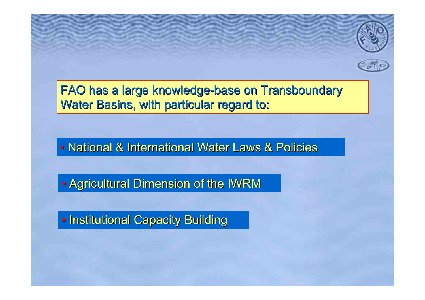

FAO has a large knowledge-base on Transboundary Water Basins, with particular regard to:

• National & International Water Laws & Policies

• Agricultural Dimension of the IWRM

• Institutional Capacity Building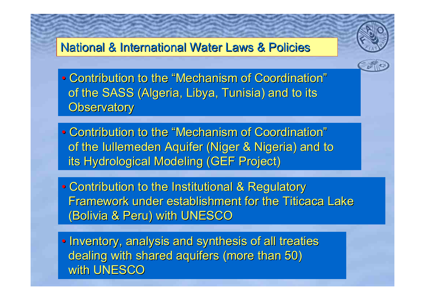### National & International Water Laws & Policies National & International Water Laws & Policies



- Contribution to the "Mechanism of Coordination" of the SASS (Algeria, Libya, Tunisia) and to its **Observatory**
- Contribution to the "Mechanism of Coordination" of the Iullemeden Aquifer (Niger & Nigeria) and to its Hydrological Modeling (GEF Project)
- Contribution to the Institutional & Regulatory Framework under establishment for the Titicaca Lake (Bolivia & Peru) with UNESCO (Bolivia & Peru) with UNESCO
- Inventory, analysis and synthesis of all treaties dealing with shared aquifers (more than 50) with UNESCO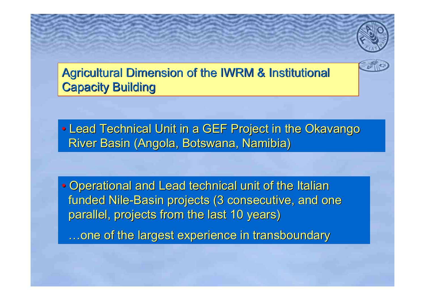Agricultural Dimension of the IWRM & Institutional **Capacity Building** 

• Lead Technical Unit in a GEF Project in the Okavango River Basin (Angola, Botswana, Namibia)

• Operational and Lead technical unit of the Italian funded Nile-Basin projects (3 consecutive, and one parallel, projects from the last 10 years)

…one of the largest experience in transboundary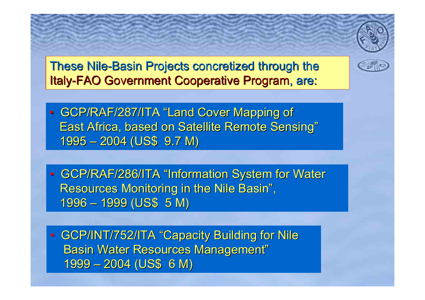These Nile-Basin Projects concretized through the Italy-FAO Government Cooperative Program, are:



• GCP/RAF/286/ITA "Information System for Water Resources Monitoring in the Nile Basin", 1996 – 1999 (US\$ 5 M) 1996 – 1999 (US\$ 5 M)

• GCP/INT/752/ITA "Capacity Building for Nile Basin Water Resources Management" 1999 – 2004 (US\$ 6 M) 1999 – 2004 (US\$ 6 M)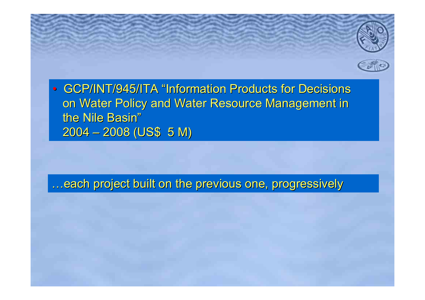

…each project built on the previous one, progressively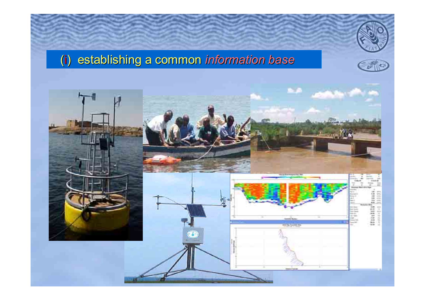## (i) establishing a common ) establishing a common *information base information base*



Colo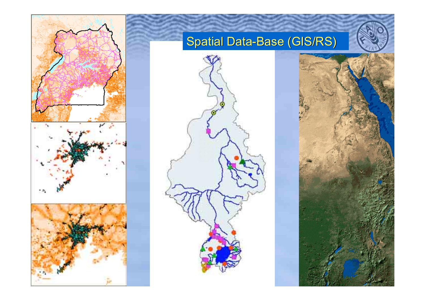

## Spatial Data-Base (GIS/RS)



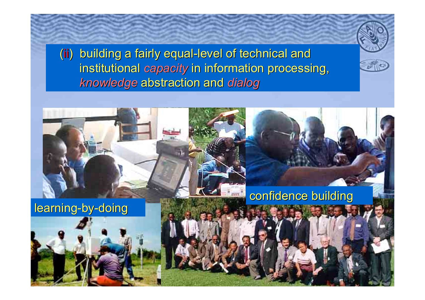(ii) building a fairly equal-level of technical and ) building a fairly equal-level of technical and institutional *capacity* in information processing, **knowledge abstraction and dialog** 

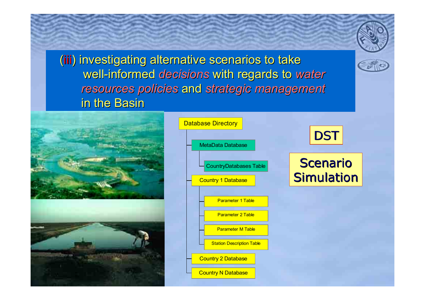(iii) investigating alternative scenarios to take well-informed *decisions* with regards to water *resources policies resources policies* and *strategic management strategic management* in the Basin





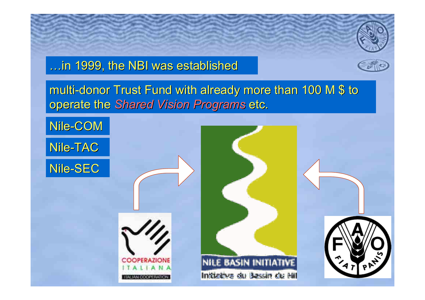





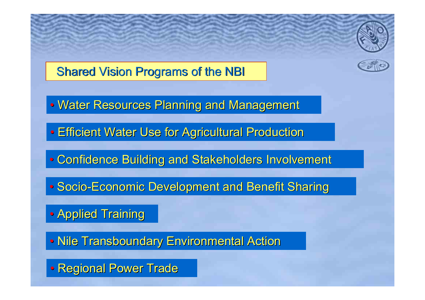

### **Shared Vision Programs of the NBI**

- Water Resources Planning and Management
- Efficient Water Use for Agricultural Production
- Confidence Building and Stakeholders Involvement
- Socio-Economic Development and Benefit Sharing
- Applied Training
- Nile Transboundary Environmental Action
- Regional Power Trade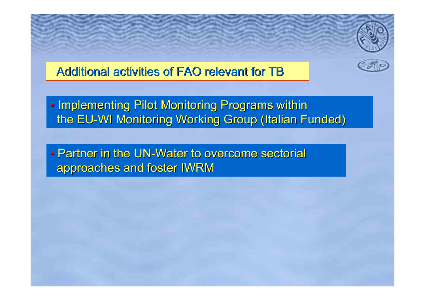### Additional activities of FAO relevant for TB

• Implementing Pilot Monitoring Programs within the EU-WI Monitoring Working Group (Italian Funded)

• Partner in the UN-Water to overcome sectorial approaches and foster IWRM approaches and foster IWRM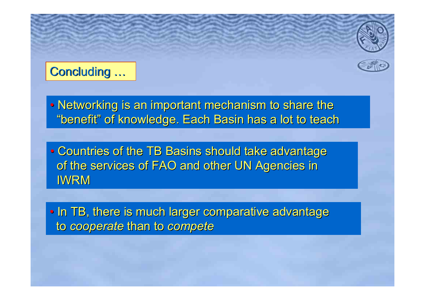## Concluding ...

• Networking is an important mechanism to share the "benefit" of knowledge. Each Basin has a lot to teach

• Countries of the TB Basins should take advantage of the services of FAO and other UN Agencies in IWRM

• In TB, there is much larger comparative advantage to *cooperate cooperate* than to than to *compete compete*